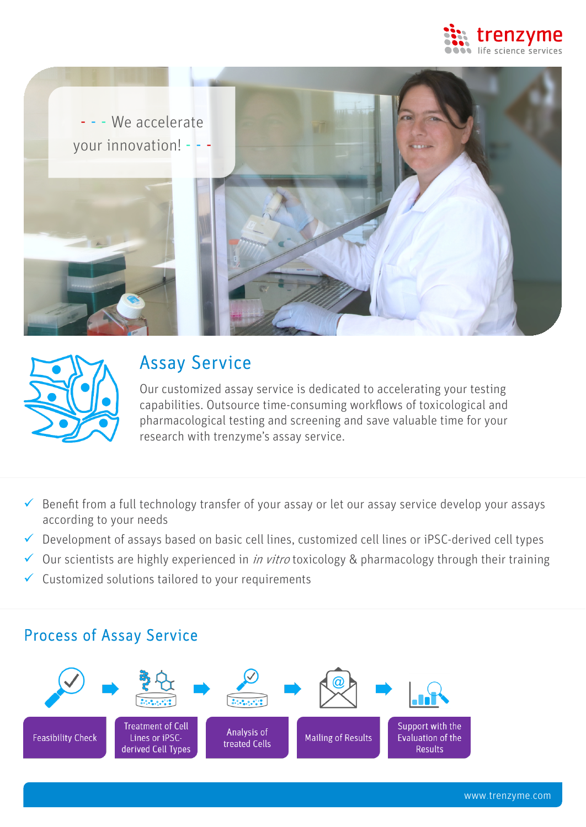





# Assay Service

Our customized assay service is dedicated to accelerating your testing capabilities. Outsource time-consuming workflows of toxicological and pharmacological testing and screening and save valuable time for your research with trenzyme's assay service.

- $\checkmark$  Benefit from a full technology transfer of your assay or let our assay service develop your assays according to your needs
- $\checkmark$  Development of assays based on basic cell lines, customized cell lines or iPSC-derived cell types
- $\checkmark$  Our scientists are highly experienced in *in vitro* toxicology & pharmacology through their training
- $\checkmark$  Customized solutions tailored to your requirements

## Process of Assay Service